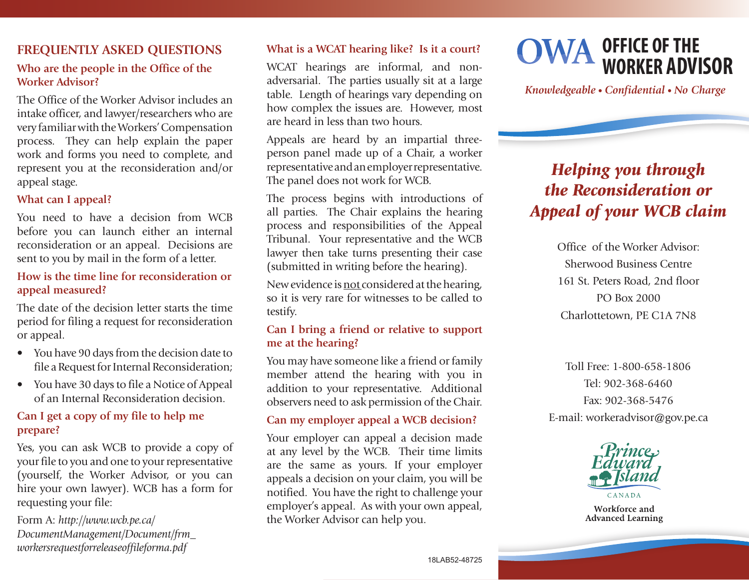### **FREQUENTLY ASKED QUESTIONS**

#### **Who are the people in the Office of the Worker Advisor?**

The Office of the Worker Advisor includes an intake officer, and lawyer/researchers who are very familiar with the Workers' Compensation process. They can help explain the paper work and forms you need to complete, and represent you at the reconsideration and/or appeal stage.

#### **What can I appeal?**

You need to have a decision from WCB before you can launch either an internal reconsideration or an appeal. Decisions are sent to you by mail in the form of a letter.

#### **How is the time line for reconsideration or appeal measured?**

The date of the decision letter starts the time period for filing a request for reconsideration or appeal.

- You have 90 days from the decision date to file a Request for Internal Reconsideration;
- You have 30 days to file a Notice of Appeal of an Internal Reconsideration decision.

#### **Can I get a copy of my file to help me prepare?**

Yes, you can ask WCB to provide a copy of your file to you and one to your representative (yourself, the Worker Advisor, or you can hire your own lawyer). WCB has a form for requesting your file:

Form A: *http://www.wcb.pe.ca/ DocumentManagement/Document/frm\_ workersrequestforreleaseoffileforma.pdf* 

#### **What is a WCAT hearing like? Is it a court?**

WCAT hearings are informal, and nonadversarial. The parties usually sit at a large table. Length of hearings vary depending on how complex the issues are. However, most are heard in less than two hours.

Appeals are heard by an impartial threeperson panel made up of a Chair, a worker representative and an employer representative. The panel does not work for WCB.

The process begins with introductions of all parties. The Chair explains the hearing process and responsibilities of the Appeal Tribunal. Your representative and the WCB lawyer then take turns presenting their case (submitted in writing before the hearing).

New evidence is not considered at the hearing, so it is very rare for witnesses to be called to testify.

#### **Can I bring a friend or relative to support me at the hearing?**

You may have someone like a friend or family member attend the hearing with you in addition to your representative. Additional observers need to ask permission of the Chair.

#### **Can my employer appeal a WCB decision?**

Your employer can appeal a decision made at any level by the WCB. Their time limits are the same as yours. If your employer appeals a decision on your claim, you will be notified. You have the right to challenge your employer's appeal. As with your own appeal, the Worker Advisor can help you.



*Knowledgeable • Confidential • No Charge*

# *Helping you through the Reconsideration or Appeal of your WCB claim*

Office of the Worker Advisor: Sherwood Business Centre 161 St. Peters Road, 2nd floor PO Box 2000 Charlottetown, PE C1A 7N8

Toll Free: 1-800-658-1806 Tel: 902-368-6460 Fax: 902-368-5476 E-mail: workeradvisor@gov.pe.ca



Workforce and **Advanced Learning**